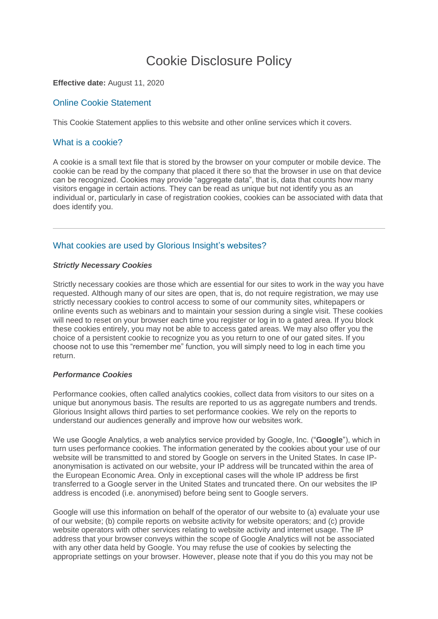# Cookie Disclosure Policy

## **Effective date:** August 11, 2020

## Online Cookie Statement

This Cookie Statement applies to this website and other online services which it covers.

## What is a cookie?

A cookie is a small text file that is stored by the browser on your computer or mobile device. The cookie can be read by the company that placed it there so that the browser in use on that device can be recognized. Cookies may provide "aggregate data", that is, data that counts how many visitors engage in certain actions. They can be read as unique but not identify you as an individual or, particularly in case of registration cookies, cookies can be associated with data that does identify you.

# What cookies are used by Glorious Insight's websites?

#### *Strictly Necessary Cookies*

Strictly necessary cookies are those which are essential for our sites to work in the way you have requested. Although many of our sites are open, that is, do not require registration, we may use strictly necessary cookies to control access to some of our community sites, whitepapers or online events such as webinars and to maintain your session during a single visit. These cookies will need to reset on your browser each time you register or log in to a gated area. If you block these cookies entirely, you may not be able to access gated areas. We may also offer you the choice of a persistent cookie to recognize you as you return to one of our gated sites. If you choose not to use this "remember me" function, you will simply need to log in each time you return.

## *Performance Cookies*

Performance cookies, often called analytics cookies, collect data from visitors to our sites on a unique but anonymous basis. The results are reported to us as aggregate numbers and trends. Glorious Insight allows third parties to set performance cookies. We rely on the reports to understand our audiences generally and improve how our websites work.

We use Google Analytics, a web analytics service provided by Google, Inc. ("**Google**"), which in turn uses performance cookies. The information generated by the cookies about your use of our website will be transmitted to and stored by Google on servers in the United States. In case IPanonymisation is activated on our website, your IP address will be truncated within the area of the European Economic Area. Only in exceptional cases will the whole IP address be first transferred to a Google server in the United States and truncated there. On our websites the IP address is encoded (i.e. anonymised) before being sent to Google servers.

Google will use this information on behalf of the operator of our website to (a) evaluate your use of our website; (b) compile reports on website activity for website operators; and (c) provide website operators with other services relating to website activity and internet usage. The IP address that your browser conveys within the scope of Google Analytics will not be associated with any other data held by Google. You may refuse the use of cookies by selecting the appropriate settings on your browser. However, please note that if you do this you may not be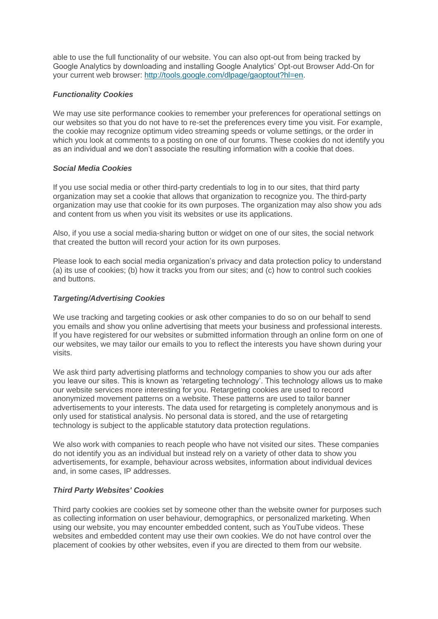able to use the full functionality of our website. You can also opt-out from being tracked by Google Analytics by downloading and installing Google Analytics' Opt-out Browser Add-On for your current web browser: [http://tools.google.com/dlpage/gaoptout?hl=en.](http://tools.google.com/dlpage/gaoptout?hl=en)

## *Functionality Cookies*

We may use site performance cookies to remember your preferences for operational settings on our websites so that you do not have to re-set the preferences every time you visit. For example, the cookie may recognize optimum video streaming speeds or volume settings, or the order in which you look at comments to a posting on one of our forums. These cookies do not identify you as an individual and we don't associate the resulting information with a cookie that does.

### *Social Media Cookies*

If you use social media or other third-party credentials to log in to our sites, that third party organization may set a cookie that allows that organization to recognize you. The third-party organization may use that cookie for its own purposes. The organization may also show you ads and content from us when you visit its websites or use its applications.

Also, if you use a social media-sharing button or widget on one of our sites, the social network that created the button will record your action for its own purposes.

Please look to each social media organization's privacy and data protection policy to understand (a) its use of cookies; (b) how it tracks you from our sites; and (c) how to control such cookies and buttons.

## *Targeting/Advertising Cookies*

We use tracking and targeting cookies or ask other companies to do so on our behalf to send you emails and show you online advertising that meets your business and professional interests. If you have registered for our websites or submitted information through an online form on one of our websites, we may tailor our emails to you to reflect the interests you have shown during your visits.

We ask third party advertising platforms and technology companies to show you our ads after you leave our sites. This is known as 'retargeting technology'. This technology allows us to make our website services more interesting for you. Retargeting cookies are used to record anonymized movement patterns on a website. These patterns are used to tailor banner advertisements to your interests. The data used for retargeting is completely anonymous and is only used for statistical analysis. No personal data is stored, and the use of retargeting technology is subject to the applicable statutory data protection regulations.

We also work with companies to reach people who have not visited our sites. These companies do not identify you as an individual but instead rely on a variety of other data to show you advertisements, for example, behaviour across websites, information about individual devices and, in some cases, IP addresses.

### *Third Party Websites' Cookies*

Third party cookies are cookies set by someone other than the website owner for purposes such as collecting information on user behaviour, demographics, or personalized marketing. When using our website, you may encounter embedded content, such as YouTube videos. These websites and embedded content may use their own cookies. We do not have control over the placement of cookies by other websites, even if you are directed to them from our website.